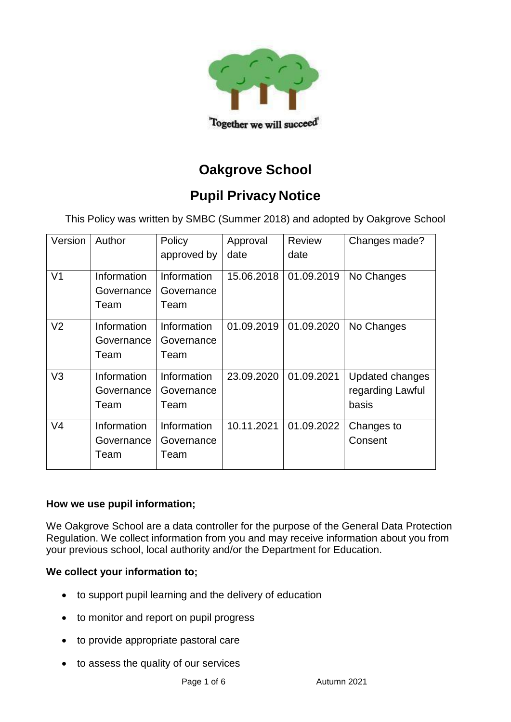

# **Oakgrove School**

## **Pupil Privacy Notice**

This Policy was written by SMBC (Summer 2018) and adopted by Oakgrove School

| Version        | Author                            | Policy                            | Approval   | Review     | Changes made?                                       |
|----------------|-----------------------------------|-----------------------------------|------------|------------|-----------------------------------------------------|
|                |                                   | approved by                       | date       | date       |                                                     |
| V <sub>1</sub> | Information<br>Governance<br>Team | Information<br>Governance<br>Team | 15.06.2018 | 01.09.2019 | No Changes                                          |
| V <sub>2</sub> | Information<br>Governance<br>Team | Information<br>Governance<br>Team | 01.09.2019 | 01.09.2020 | No Changes                                          |
| V <sub>3</sub> | Information<br>Governance<br>Team | Information<br>Governance<br>Team | 23.09.2020 | 01.09.2021 | <b>Updated changes</b><br>regarding Lawful<br>basis |
| V <sub>4</sub> | Information<br>Governance<br>Team | Information<br>Governance<br>Team | 10.11.2021 | 01.09.2022 | Changes to<br>Consent                               |

#### **How we use pupil information;**

We Oakgrove School are a data controller for the purpose of the General Data Protection Regulation. We collect information from you and may receive information about you from your previous school, local authority and/or the Department for Education.

#### **We collect your information to;**

- to support pupil learning and the delivery of education
- to monitor and report on pupil progress
- to provide appropriate pastoral care
- to assess the quality of our services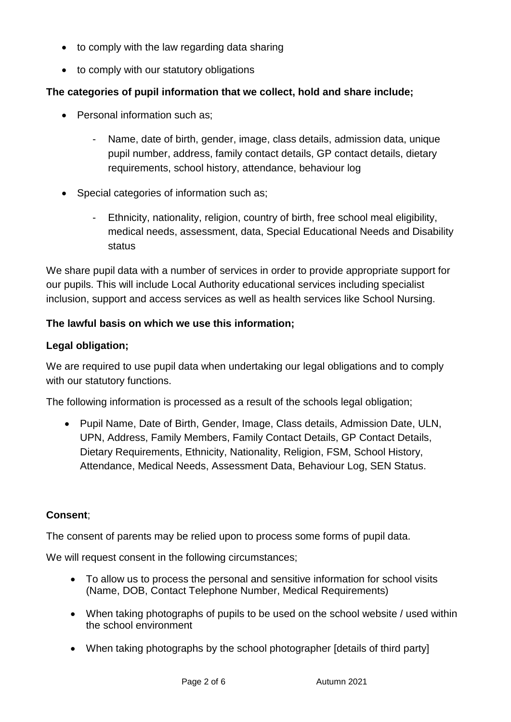- to comply with the law regarding data sharing
- to comply with our statutory obligations

#### **The categories of pupil information that we collect, hold and share include;**

- Personal information such as:
	- Name, date of birth, gender, image, class details, admission data, unique pupil number, address, family contact details, GP contact details, dietary requirements, school history, attendance, behaviour log
- Special categories of information such as;
	- Ethnicity, nationality, religion, country of birth, free school meal eligibility, medical needs, assessment, data, Special Educational Needs and Disability status

We share pupil data with a number of services in order to provide appropriate support for our pupils. This will include Local Authority educational services including specialist inclusion, support and access services as well as health services like School Nursing.

#### **The lawful basis on which we use this information;**

#### **Legal obligation;**

We are required to use pupil data when undertaking our legal obligations and to comply with our statutory functions.

The following information is processed as a result of the schools legal obligation;

• Pupil Name, Date of Birth, Gender, Image, Class details, Admission Date, ULN, UPN, Address, Family Members, Family Contact Details, GP Contact Details, Dietary Requirements, Ethnicity, Nationality, Religion, FSM, School History, Attendance, Medical Needs, Assessment Data, Behaviour Log, SEN Status.

#### **Consent**;

The consent of parents may be relied upon to process some forms of pupil data.

We will request consent in the following circumstances;

- To allow us to process the personal and sensitive information for school visits (Name, DOB, Contact Telephone Number, Medical Requirements)
- When taking photographs of pupils to be used on the school website / used within the school environment
- When taking photographs by the school photographer [details of third party]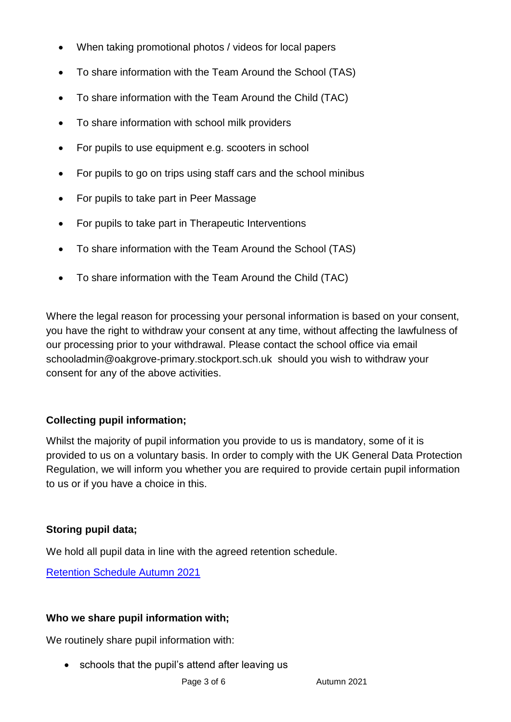- When taking promotional photos / videos for local papers
- To share information with the Team Around the School (TAS)
- To share information with the Team Around the Child (TAC)
- To share information with school milk providers
- For pupils to use equipment e.g. scooters in school
- For pupils to go on trips using staff cars and the school minibus
- For pupils to take part in Peer Massage
- For pupils to take part in Therapeutic Interventions
- To share information with the Team Around the School (TAS)
- To share information with the Team Around the Child (TAC)

Where the legal reason for processing your personal information is based on your consent, you have the right to withdraw your consent at any time, without affecting the lawfulness of our processing prior to your withdrawal. Please contact the school office via email schooladmin@oakgrove-primary.stockport.sch.uk should you wish to withdraw your consent for any of the above activities.

#### **Collecting pupil information;**

Whilst the majority of pupil information you provide to us is mandatory, some of it is provided to us on a voluntary basis. In order to comply with the UK General Data Protection Regulation, we will inform you whether you are required to provide certain pupil information to us or if you have a choice in this.

#### **Storing pupil data;**

We hold all pupil data in line with the agreed retention schedule.

[Retention Schedule Autumn 2021](file://///oak-simssql.oakgrove.internal/admindata/Office%20Documents/Retention%20Schedule/School%20Retention%20Schedule%202021-2022.xlsx)

#### **Who we share pupil information with;**

We routinely share pupil information with:

• schools that the pupil's attend after leaving us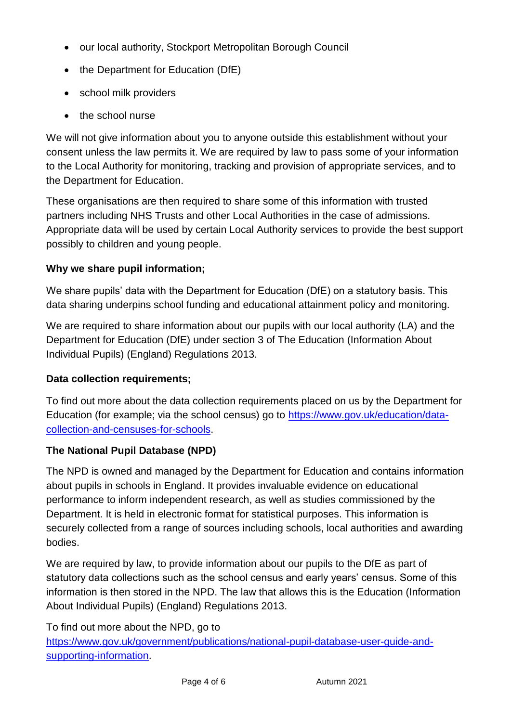- our local authority, Stockport Metropolitan Borough Council
- the Department for Education (DfE)
- school milk providers
- the school nurse

We will not give information about you to anyone outside this establishment without your consent unless the law permits it. We are required by law to pass some of your information to the Local Authority for monitoring, tracking and provision of appropriate services, and to the Department for Education.

These organisations are then required to share some of this information with trusted partners including NHS Trusts and other Local Authorities in the case of admissions. Appropriate data will be used by certain Local Authority services to provide the best support possibly to children and young people.

## **Why we share pupil information;**

We share pupils' data with the Department for Education (DfE) on a statutory basis. This data sharing underpins school funding and educational attainment policy and monitoring.

We are required to share information about our pupils with our local authority (LA) and the Department for Education (DfE) under section 3 of The Education (Information About Individual Pupils) (England) Regulations 2013.

## **Data collection requirements;**

To find out more about the data collection requirements placed on us by the Department for Education (for example; via the school census) go to [https://www.gov.uk/education/data](https://www.gov.uk/education/data-collection-and-censuses-for-schools)[collection-and-censuses-for-schools.](https://www.gov.uk/education/data-collection-and-censuses-for-schools)

## **The National Pupil Database (NPD)**

The NPD is owned and managed by the Department for Education and contains information about pupils in schools in England. It provides invaluable evidence on educational performance to inform independent research, as well as studies commissioned by the Department. It is held in electronic format for statistical purposes. This information is securely collected from a range of sources including schools, local authorities and awarding bodies.

We are required by law, to provide information about our pupils to the DfE as part of statutory data collections such as the school census and early years' census. Some of this information is then stored in the NPD. The law that allows this is the Education (Information About Individual Pupils) (England) Regulations 2013.

To find out more about the NPD, go to

[https://www.gov.uk/government/publications/national-pupil-database-user-guide-and](https://www.gov.uk/government/publications/national-pupil-database-user-guide-and-supporting-information)[supporting-information.](https://www.gov.uk/government/publications/national-pupil-database-user-guide-and-supporting-information)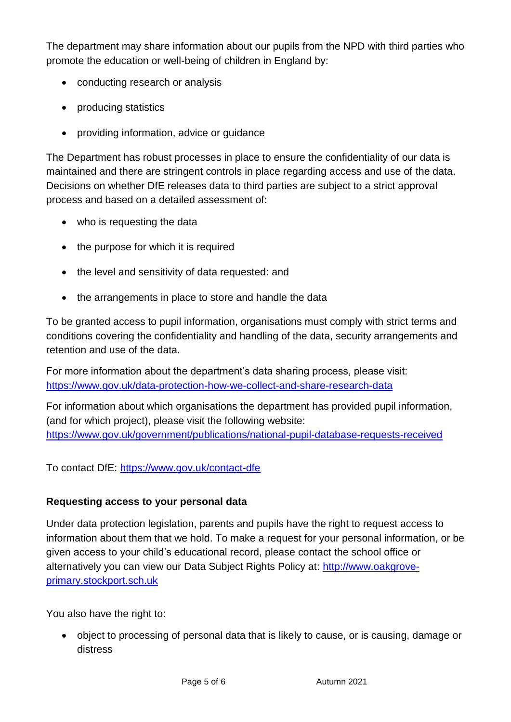The department may share information about our pupils from the NPD with third parties who promote the education or well-being of children in England by:

- conducting research or analysis
- producing statistics
- providing information, advice or guidance

The Department has robust processes in place to ensure the confidentiality of our data is maintained and there are stringent controls in place regarding access and use of the data. Decisions on whether DfE releases data to third parties are subject to a strict approval process and based on a detailed assessment of:

- who is requesting the data
- the purpose for which it is required
- the level and sensitivity of data requested: and
- the arrangements in place to store and handle the data

To be granted access to pupil information, organisations must comply with strict terms and conditions covering the confidentiality and handling of the data, security arrangements and retention and use of the data.

For more information about the department's data sharing process, please visit: <https://www.gov.uk/data-protection-how-we-collect-and-share-research-data>

For information about which organisations the department has provided pupil information, (and for which project), please visit the following website: <https://www.gov.uk/government/publications/national-pupil-database-requests-received>

To contact DfE:<https://www.gov.uk/contact-dfe>

#### **Requesting access to your personal data**

Under data protection legislation, parents and pupils have the right to request access to information about them that we hold. To make a request for your personal information, or be given access to your child's educational record, please contact the school office or alternatively you can view our Data Subject Rights Policy at: [http://www.oakgrove](http://www.oakgrove-primary.stockport.sch.uk/)[primary.stockport.sch.uk](http://www.oakgrove-primary.stockport.sch.uk/)

You also have the right to:

• object to processing of personal data that is likely to cause, or is causing, damage or distress